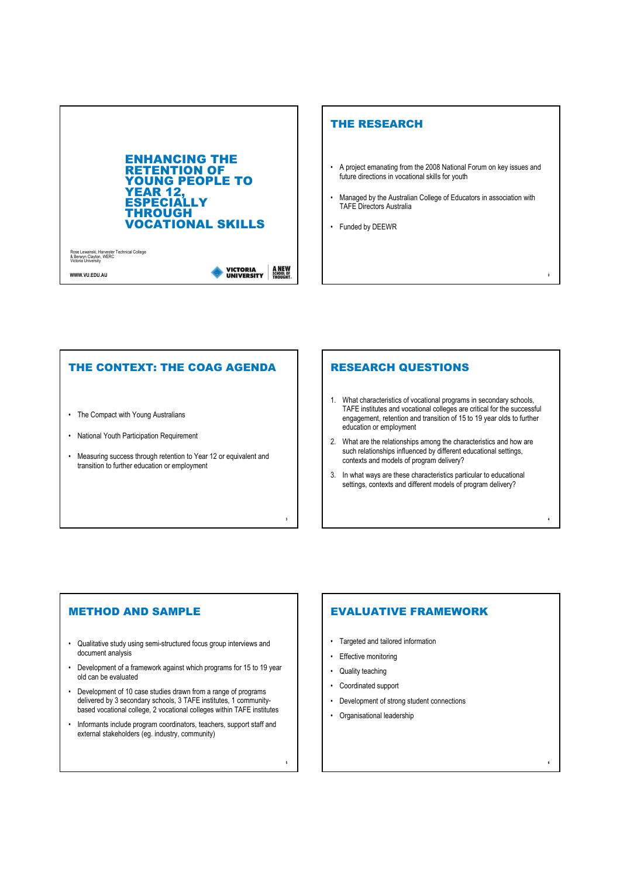

## THE RESEARCH

- A project emanating from the 2008 National Forum on key issues and future directions in vocational skills for youth
- Managed by the Australian College of Educators in association with TAFE Directors Australia

2

4

6

• Funded by DEEWR

### THE CONTEXT: THE COAG AGENDA

- The Compact with Young Australians
- National Youth Participation Requirement
- Measuring success through retention to Year 12 or equivalent and transition to further education or employment

#### RESEARCH QUESTIONS

- 1. What characteristics of vocational programs in secondary schools, TAFE institutes and vocational colleges are critical for the successful engagement, retention and transition of 15 to 19 year olds to further education or employment
- 2. What are the relationships among the characteristics and how are such relationships influenced by different educational settings, contexts and models of program delivery?
- 3. In what ways are these characteristics particular to educational settings, contexts and different models of program delivery?

#### METHOD AND SAMPLE

- Qualitative study using semi-structured focus group interviews and document analysis
- Development of a framework against which programs for 15 to 19 year old can be evaluated
- Development of 10 case studies drawn from a range of programs delivered by 3 secondary schools, 3 TAFE institutes, 1 communitybased vocational college, 2 vocational colleges within TAFE institutes
- Informants include program coordinators, teachers, support staff and external stakeholders (eg. industry, community)

## EVALUATIVE FRAMEWORK

- Targeted and tailored information
- Effective monitoring
- Quality teaching

3

5

- Coordinated support
- Development of strong student connections
- Organisational leadership